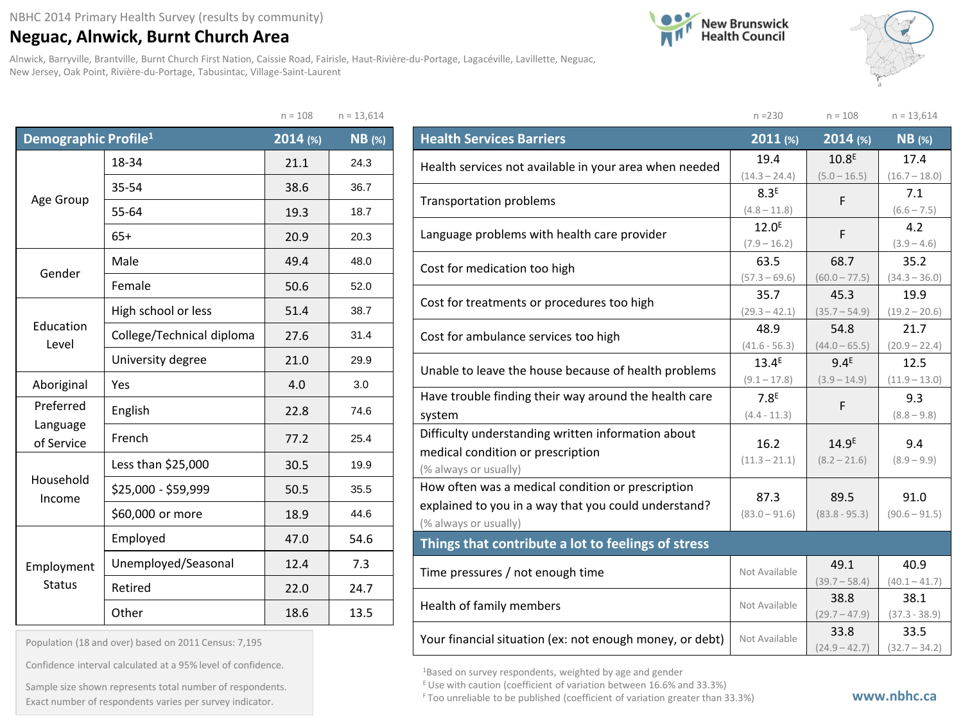## **Neguac, Alnwick, Burnt Church Area**

Alnwick, Barryville, Brantville, Burnt Church First Nation, Caissie Road, Fairisle, Haut-Rivière-du-Portage, Lagacéville, Lavillette, Neguac, New Jersey, Oak Point, Rivière-du-Portage, Tabusintac, Village-Saint-Laurent

 $n = 100$   $n = 13,614$ 





|                                  |                           | $U = T00$ | $1 = 13,014$ |
|----------------------------------|---------------------------|-----------|--------------|
| Demographic Profile <sup>1</sup> |                           | 2014 (%)  | NB (%)       |
|                                  | 18-34                     | 21.1      | 24.3         |
| Age Group                        | 35-54                     | 38.6      | 36.7         |
|                                  | 55-64                     | 19.3      | 18.7         |
|                                  | $65+$                     | 20.9      | 20.3         |
|                                  | Male                      | 49.4      | 48.0         |
| Gender                           | Female                    | 50.6      | 52.0         |
|                                  | High school or less       | 51.4      | 38.7         |
| Education<br>Level               | College/Technical diploma | 27.6      | 31.4         |
|                                  | University degree         | 21.0      | 29.9         |
| Aboriginal                       | Yes                       | 4.0       | 3.0          |
| Preferred                        | English                   | 22.8      | 74.6         |
| Language<br>of Service           | French                    | 77.2      | 25.4         |
|                                  | Less than \$25,000        | 30.5      | 19.9         |
| Household<br>Income              | \$25,000 - \$59,999       | 50.5      | 35.5         |
|                                  | \$60,000 or more          | 18.9      | 44.6         |
|                                  | Employed                  | 47.0      | 54.6         |
| Employment                       | Unemployed/Seasonal       | 12.4      | 7.3          |
| <b>Status</b>                    | Retired                   | 22.0      | 24.7         |
|                                  | Other                     | 18.6      | 13.5         |

| Population (18 and over) based on 2011 Census: 7,195 |  |  |  |  |  |  |
|------------------------------------------------------|--|--|--|--|--|--|
|------------------------------------------------------|--|--|--|--|--|--|

Confidence interval calculated at a 95% level of confidence.

Exact number of respondents varies per survey indicator. **Exact number of respondents varies per survey** indicator. Sample size shown represents total number of respondents.

|                                                          | $n = 230$                           | $n = 108$         | $n = 13,614$         |
|----------------------------------------------------------|-------------------------------------|-------------------|----------------------|
| <b>Health Services Barriers</b>                          | 2011 (%)                            | 2014 (%)          | $NB$ (%)             |
| Health services not available in your area when needed   | 19.4                                | 10.8 <sup>E</sup> | 17.4                 |
|                                                          | $(14.3 - 24.4)$                     | $(5.0 - 16.5)$    | $(16.7 - 18.0)$      |
| <b>Transportation problems</b>                           | 8.3 <sup>E</sup>                    | F                 | 7.1                  |
|                                                          | $(4.8 - 11.8)$<br>12.0 <sup>E</sup> |                   | $(6.6 - 7.5)$        |
| Language problems with health care provider              | $(7.9 - 16.2)$                      | F                 | 4.2<br>$(3.9 - 4.6)$ |
|                                                          | 63.5                                | 68.7              | 35.2                 |
| Cost for medication too high                             | $(57.3 - 69.6)$                     | $(60.0 - 77.5)$   | $(34.3 - 36.0)$      |
| Cost for treatments or procedures too high               | 35.7                                | 45.3              | 19.9                 |
|                                                          | $(29.3 - 42.1)$                     | $(35.7 - 54.9)$   | $(19.2 - 20.6)$      |
| Cost for ambulance services too high                     | 48.9                                | 54.8              | 21.7                 |
|                                                          | $(41.6 - 56.3)$                     | $(44.0 - 65.5)$   | $(20.9 - 22.4)$      |
| Unable to leave the house because of health problems     | 13.4 <sup>E</sup>                   | 9.4 <sup>E</sup>  | 12.5                 |
|                                                          | $(9.1 - 17.8)$                      | $(3.9 - 14.9)$    | $(11.9 - 13.0)$      |
| Have trouble finding their way around the health care    | 7.8 <sup>E</sup>                    | F                 | 9.3                  |
| system                                                   | $(4.4 - 11.3)$                      |                   | $(8.8 - 9.8)$        |
| Difficulty understanding written information about       | 16.2                                | 14.9 <sup>E</sup> | 9.4                  |
| medical condition or prescription                        | $(11.3 - 21.1)$                     | $(8.2 - 21.6)$    | $(8.9 - 9.9)$        |
| (% always or usually)                                    |                                     |                   |                      |
| How often was a medical condition or prescription        | 87.3                                | 89.5              | 91.0                 |
| explained to you in a way that you could understand?     | $(83.0 - 91.6)$                     | $(83.8 - 95.3)$   | $(90.6 - 91.5)$      |
| (% always or usually)                                    |                                     |                   |                      |
| Things that contribute a lot to feelings of stress       |                                     |                   |                      |
| Time pressures / not enough time                         | Not Available                       | 49.1              | 40.9                 |
|                                                          |                                     | $(39.7 - 58.4)$   | $(40.1 - 41.7)$      |
| Health of family members                                 | Not Available                       | 38.8              | 38.1                 |
|                                                          |                                     | $(29.7 - 47.9)$   | $(37.3 - 38.9)$      |
| Your financial situation (ex: not enough money, or debt) | Not Available                       | 33.8              | 33.5                 |
|                                                          |                                     | $(24.9 - 42.7)$   | $(32.7 - 34.2)$      |

1Based on survey respondents, weighted by age and gender

 $E$  Use with caution (coefficient of variation between 16.6% and 33.3%)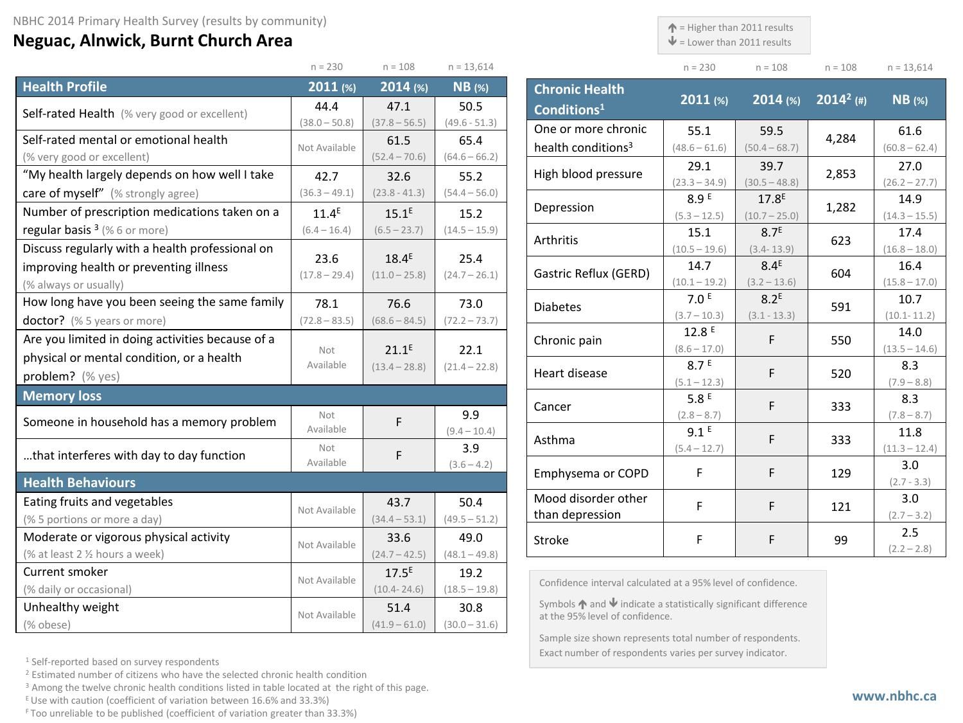## **Neguac, Alnwick, Burnt Church Area**

 $\uparrow$  = Higher than 2011 results

 $\blacklozenge$  = Lower than 2011 results

Exact number of respondents varies per survey indicator.

| $n = 108$ | $n = 13,614$ |
|-----------|--------------|

 $(60.8 - 62.4)$ 

|                                                                             | $n = 230$               | $n = 108$                   | $n = 13,614$            |                                                                                                                      | $n = 230$                          | $n = 108$                          | $n = 108$    | $n = 13,614$            |
|-----------------------------------------------------------------------------|-------------------------|-----------------------------|-------------------------|----------------------------------------------------------------------------------------------------------------------|------------------------------------|------------------------------------|--------------|-------------------------|
| <b>Health Profile</b>                                                       | $2011$ (%)              | $2014$ (%)                  | $NB$ (%)                | <b>Chronic Health</b>                                                                                                |                                    |                                    |              |                         |
| Self-rated Health (% very good or excellent)                                | 44.4                    | 47.1                        | 50.5                    | Conditions <sup>1</sup>                                                                                              | $2011$ (%)                         | $2014$ (%)                         | $2014^2$ (#) | $NB$ (%)                |
|                                                                             | $(38.0 - 50.8)$         | $(37.8 - 56.5)$             | $(49.6 - 51.3)$         | One or more chronic                                                                                                  | 55.1                               | 59.5                               |              | 61.6                    |
| Self-rated mental or emotional health                                       | Not Available           | 61.5                        | 65.4                    | health conditions <sup>3</sup>                                                                                       | $(48.6 - 61.6)$                    | $(50.4 - 68.7)$                    | 4,284        | $(60.8 - 62.4)$         |
| (% very good or excellent)<br>"My health largely depends on how well I take |                         | $(52.4 - 70.6)$             | $(64.6 - 66.2)$         | High blood pressure                                                                                                  | 29.1                               | 39.7                               | 2,853        | 27.0                    |
| care of myself" (% strongly agree)                                          | 42.7<br>$(36.3 - 49.1)$ | 32.6                        | 55.2<br>$(54.4 - 56.0)$ |                                                                                                                      | $(23.3 - 34.9)$                    | $(30.5 - 48.8)$                    |              | $(26.2 - 27.7)$         |
| Number of prescription medications taken on a                               | $11.4^E$                | $(23.8 - 41.3)$<br>$15.1^E$ |                         | Depression                                                                                                           | 8.9 <sup>E</sup>                   | 17.8 <sup>E</sup>                  | 1,282        | 14.9                    |
| regular basis $3$ (% 6 or more)                                             | $(6.4 - 16.4)$          | $(6.5 - 23.7)$              | 15.2<br>$(14.5 - 15.9)$ |                                                                                                                      | $(5.3 - 12.5)$                     | $(10.7 - 25.0)$                    |              | $(14.3 - 15.5)$         |
| Discuss regularly with a health professional on                             |                         |                             |                         | Arthritis                                                                                                            | 15.1<br>$(10.5 - 19.6)$            | 8.7 <sup>E</sup><br>$(3.4 - 13.9)$ | 623          | 17.4<br>$(16.8 - 18.0)$ |
| improving health or preventing illness                                      | 23.6                    | $18.4^E$                    | 25.4                    |                                                                                                                      | 14.7                               | 8.4 <sup>E</sup>                   |              | 16.4                    |
| (% always or usually)                                                       | $(17.8 - 29.4)$         | $(11.0 - 25.8)$             | $(24.7 - 26.1)$         | Gastric Reflux (GERD)                                                                                                | $(10.1 - 19.2)$                    | $(3.2 - 13.6)$                     | 604          | $(15.8 - 17.0)$         |
| How long have you been seeing the same family                               | 78.1                    | 76.6                        | 73.0                    |                                                                                                                      | 7.0 <sup>E</sup>                   | $8.2^E$                            |              | 10.7                    |
| doctor? (% 5 years or more)                                                 | $(72.8 - 83.5)$         | $(68.6 - 84.5)$             | $(72.2 - 73.7)$         | <b>Diabetes</b>                                                                                                      | $(3.7 - 10.3)$                     | $(3.1 - 13.3)$                     | 591          | $(10.1 - 11.2)$         |
| Are you limited in doing activities because of a                            |                         |                             |                         | Chronic pain                                                                                                         | 12.8 <sup>E</sup>                  | F                                  | 550          | 14.0                    |
| physical or mental condition, or a health                                   | Not                     | $21.1^E$                    | 22.1                    |                                                                                                                      | $(8.6 - 17.0)$                     |                                    |              | $(13.5 - 14.6)$         |
| problem? (% yes)                                                            | Available               | $(13.4 - 28.8)$             | $(21.4 - 22.8)$         | Heart disease                                                                                                        | 8.7 <sup>E</sup><br>$(5.1 - 12.3)$ | F                                  | 520          | 8.3<br>$(7.9 - 8.8)$    |
| <b>Memory loss</b>                                                          |                         |                             |                         |                                                                                                                      | 5.8E                               |                                    |              | 8.3                     |
|                                                                             | Not                     |                             | 9.9                     | Cancer                                                                                                               | $(2.8 - 8.7)$                      | F                                  | 333          | $(7.8 - 8.7)$           |
| Someone in household has a memory problem                                   | Available               | F                           | $(9.4 - 10.4)$          |                                                                                                                      | 9.1 <sup>E</sup>                   | F                                  |              | 11.8                    |
| that interferes with day to day function                                    | Not                     | F                           | 3.9                     | Asthma                                                                                                               | $(5.4 - 12.7)$                     |                                    | 333          | $(11.3 - 12.4)$         |
|                                                                             | Available               |                             | $(3.6 - 4.2)$           | Emphysema or COPD                                                                                                    | F                                  | F                                  | 129          | 3.0                     |
| <b>Health Behaviours</b>                                                    |                         |                             |                         |                                                                                                                      |                                    |                                    |              | $(2.7 - 3.3)$           |
| Eating fruits and vegetables                                                | Not Available           | 43.7                        | 50.4                    | Mood disorder other                                                                                                  | F.                                 | F                                  | 121          | 3.0                     |
| (% 5 portions or more a day)                                                |                         | $(34.4 - 53.1)$             | $(49.5 - 51.2)$         | than depression                                                                                                      |                                    |                                    |              | $(2.7 - 3.2)$           |
| Moderate or vigorous physical activity                                      | Not Available           | 33.6                        | 49.0                    | Stroke                                                                                                               | F                                  | F                                  | 99           | 2.5<br>$(2.2 - 2.8)$    |
| (% at least 2 % hours a week)                                               |                         | $(24.7 - 42.5)$             | $(48.1 - 49.8)$         |                                                                                                                      |                                    |                                    |              |                         |
| Current smoker                                                              | Not Available           | $17.5^E$                    | 19.2                    | Confidence interval calculated at a 95% level of confidence.                                                         |                                    |                                    |              |                         |
| (% daily or occasional)                                                     |                         | $(10.4 - 24.6)$             | $(18.5 - 19.8)$         |                                                                                                                      |                                    |                                    |              |                         |
| Unhealthy weight                                                            | Not Available           | 51.4                        | 30.8                    | Symbols $\bigwedge$ and $\bigvee$ indicate a statistically significant difference<br>at the 95% level of confidence. |                                    |                                    |              |                         |
| (% obese)                                                                   |                         | $(41.9 - 61.0)$             | $(30.0 - 31.6)$         | Sample size shown represents total number of respondents.                                                            |                                    |                                    |              |                         |

<sup>1</sup> Self-reported based on survey respondents

<sup>2</sup> Estimated number of citizens who have the selected chronic health condition

<sup>3</sup> Among the twelve chronic health conditions listed in table located at the right of this page.

 $E$  Use with caution (coefficient of variation between 16.6% and 33.3%)

F Too unreliable to be published (coefficient of variation greater than 33.3%)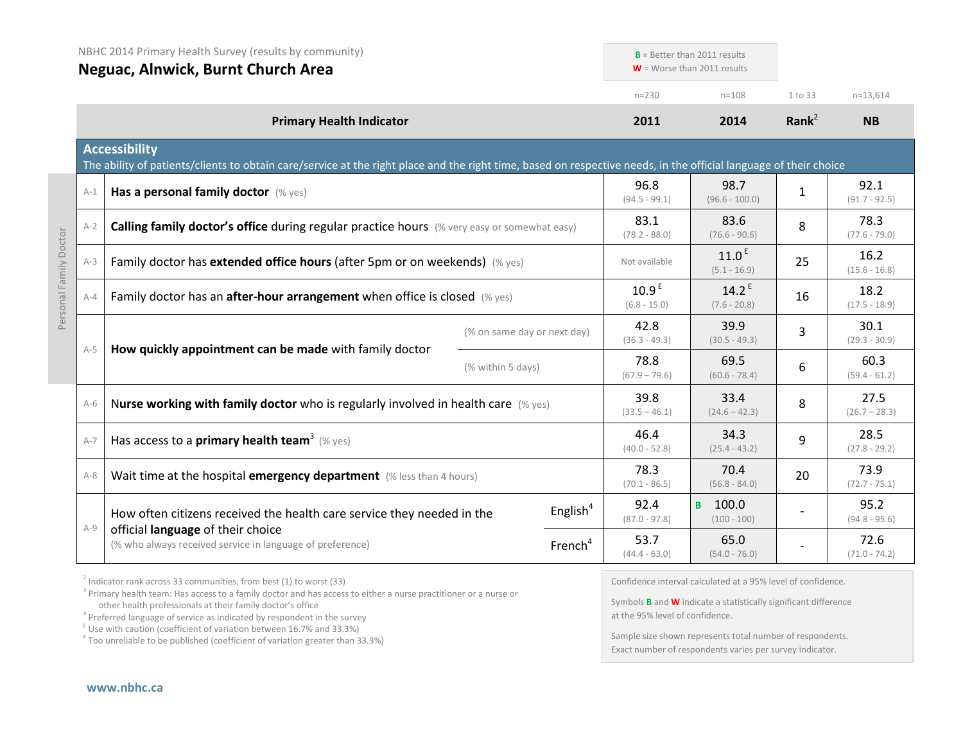|                        |         | NBHC 2014 Primary Health Survey (results by community)<br>Neguac, Alnwick, Burnt Church Area                                                                                              |                                     |                                     | $B =$ Better than 2011 results<br>$W =$ Worse than 2011 results |                         |                         |  |  |  |
|------------------------|---------|-------------------------------------------------------------------------------------------------------------------------------------------------------------------------------------------|-------------------------------------|-------------------------------------|-----------------------------------------------------------------|-------------------------|-------------------------|--|--|--|
|                        |         |                                                                                                                                                                                           |                                     | $n = 230$                           | $n = 108$                                                       | 1 to 33                 | $n=13,614$              |  |  |  |
|                        |         | <b>Primary Health Indicator</b>                                                                                                                                                           |                                     | 2011                                | 2014                                                            | Rank $2$                | <b>NB</b>               |  |  |  |
|                        |         | <b>Accessibility</b><br>The ability of patients/clients to obtain care/service at the right place and the right time, based on respective needs, in the official language of their choice |                                     |                                     |                                                                 |                         |                         |  |  |  |
|                        | $A-1$   | Has a personal family doctor (% yes)                                                                                                                                                      |                                     | 96.8<br>$(94.5 - 99.1)$             | 98.7<br>$(96.6 - 100.0)$                                        | $\mathbf{1}$            | 92.1<br>$(91.7 - 92.5)$ |  |  |  |
|                        | $A-2$   | Calling family doctor's office during regular practice hours (% very easy or somewhat easy)                                                                                               |                                     | 83.1<br>$(78.2 - 88.0)$             | 83.6<br>$(76.6 - 90.6)$                                         | 8                       | 78.3<br>$(77.6 - 79.0)$ |  |  |  |
| Personal Family Doctor | $A-3$   | Family doctor has extended office hours (after 5pm or on weekends) (% yes)                                                                                                                | Not available                       | 11.0 <sup>E</sup><br>$(5.1 - 16.9)$ | 25                                                              | 16.2<br>$(15.6 - 16.8)$ |                         |  |  |  |
|                        | $A - 4$ | Family doctor has an <b>after-hour arrangement</b> when office is closed $(\%$ yes)                                                                                                       | 10.9 <sup>E</sup><br>$(6.8 - 15.0)$ | $14.2^E$<br>$(7.6 - 20.8)$          | 16                                                              | 18.2<br>$(17.5 - 18.9)$ |                         |  |  |  |
|                        |         |                                                                                                                                                                                           | (% on same day or next day)         | 42.8<br>$(36.3 - 49.3)$             | 39.9<br>$(30.5 - 49.3)$                                         | 3                       | 30.1<br>$(29.3 - 30.9)$ |  |  |  |
|                        | $A-5$   | How quickly appointment can be made with family doctor                                                                                                                                    | (% within 5 days)                   | 78.8<br>$(67.9 - 79.6)$             | 69.5<br>$(60.6 - 78.4)$                                         | 6                       | 60.3<br>$(59.4 - 61.2)$ |  |  |  |
|                        | $A-6$   | Nurse working with family doctor who is regularly involved in health care $(\%$ yes)                                                                                                      |                                     | 39.8<br>$(33.5 - 46.1)$             | 33.4<br>$(24.6 - 42.3)$                                         | 8                       | 27.5<br>$(26.7 - 28.3)$ |  |  |  |
|                        | $A-7$   | Has access to a <b>primary health team</b> <sup>3</sup> (% yes)                                                                                                                           | 46.4<br>$(40.0 - 52.8)$             | 34.3<br>$(25.4 - 43.2)$             | 9                                                               | 28.5<br>$(27.8 - 29.2)$ |                         |  |  |  |
|                        | $A-8$   | Wait time at the hospital emergency department (% less than 4 hours)                                                                                                                      |                                     | 78.3<br>$(70.1 - 86.5)$             | 70.4<br>$(56.8 - 84.0)$                                         | 20                      | 73.9<br>$(72.7 - 75.1)$ |  |  |  |
|                        | $A-9$   | How often citizens received the health care service they needed in the                                                                                                                    | English <sup>4</sup>                | 92.4<br>$(87.0 - 97.8)$             | в 100.0<br>$(100 - 100)$                                        |                         | 95.2<br>$(94.8 - 95.6)$ |  |  |  |
|                        |         | official language of their choice<br>(% who always received service in language of preference)                                                                                            | French <sup>4</sup>                 | 53.7<br>$(44.4 - 63.0)$             | 65.0<br>$(54.0 - 76.0)$                                         |                         | 72.6<br>$(71.0 - 74.2)$ |  |  |  |

 $2$  Indicator rank across 33 communities, from best (1) to worst (33)

<sup>3</sup> Primary health team: Has access to a family doctor and has access to either a nurse practitioner or a nurse or other health professionals at their family doctor's office

 $\frac{1}{2}$  Use with caution (coefficient of variation between 16.7% and 33.3%)

<sup>F</sup> Too unreliable to be published (coefficient of variation greater than 33.3%)

Confidence interval calculated at a 95% level of confidence.

Symbols **B** and **W** indicate a statistically significant difference at the 95% level of confidence.

Sample size shown represents total number of respondents. Exact number of respondents varies per survey indicator.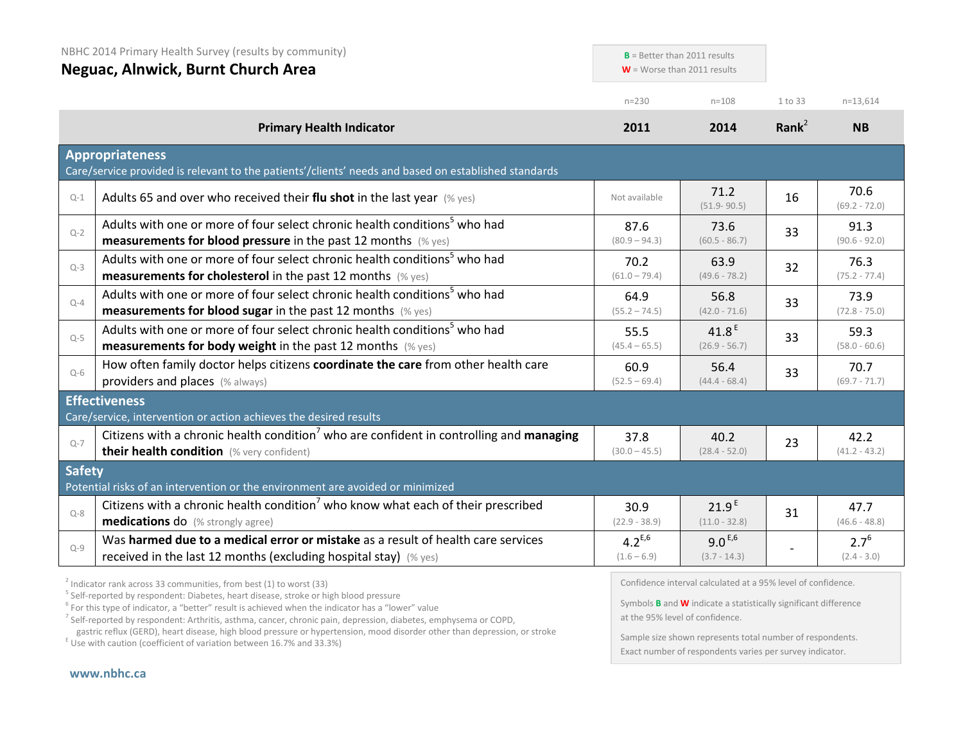| NBHC 2014 Primary Health Survey (results by community)<br>Neguac, Alnwick, Burnt Church Area |                                                                                                                                                                                                                       | $B =$ Better than 2011 results<br>$W =$ Worse than 2011 results |                                      |           |                            |
|----------------------------------------------------------------------------------------------|-----------------------------------------------------------------------------------------------------------------------------------------------------------------------------------------------------------------------|-----------------------------------------------------------------|--------------------------------------|-----------|----------------------------|
|                                                                                              |                                                                                                                                                                                                                       | $n = 230$                                                       | $n = 108$                            | 1 to 33   | $n=13,614$                 |
|                                                                                              | <b>Primary Health Indicator</b>                                                                                                                                                                                       | 2011                                                            | 2014                                 | Rank $^2$ | <b>NB</b>                  |
|                                                                                              | <b>Appropriateness</b><br>Care/service provided is relevant to the patients'/clients' needs and based on established standards                                                                                        |                                                                 |                                      |           |                            |
| $Q-1$                                                                                        | Adults 65 and over who received their flu shot in the last year $(\%$ yes)                                                                                                                                            | Not available                                                   | 71.2<br>$(51.9 - 90.5)$              | 16        | 70.6<br>$(69.2 - 72.0)$    |
| $Q - 2$                                                                                      | Adults with one or more of four select chronic health conditions <sup>5</sup> who had<br><b>measurements for blood pressure</b> in the past 12 months (% yes)                                                         | 87.6<br>$(80.9 - 94.3)$                                         | 73.6<br>$(60.5 - 86.7)$              | 33        | 91.3<br>$(90.6 - 92.0)$    |
| $Q-3$                                                                                        | Adults with one or more of four select chronic health conditions <sup>5</sup> who had<br><b>measurements for cholesterol</b> in the past 12 months (% yes)                                                            | 70.2<br>$(61.0 - 79.4)$                                         | 63.9<br>$(49.6 - 78.2)$              | 32        | 76.3<br>$(75.2 - 77.4)$    |
| $Q-4$                                                                                        | Adults with one or more of four select chronic health conditions <sup>5</sup> who had<br><b>measurements for blood sugar</b> in the past 12 months (% yes)                                                            | 64.9<br>$(55.2 - 74.5)$                                         | 56.8<br>$(42.0 - 71.6)$              | 33        | 73.9<br>$(72.8 - 75.0)$    |
| $Q-5$                                                                                        | Adults with one or more of four select chronic health conditions <sup>5</sup> who had<br><b>measurements for body weight</b> in the past 12 months $(\%$ yes)                                                         | 55.5<br>$(45.4 - 65.5)$                                         | 41.8 $E$<br>$(26.9 - 56.7)$          | 33        | 59.3<br>$(58.0 - 60.6)$    |
| $Q-6$                                                                                        | How often family doctor helps citizens coordinate the care from other health care<br>providers and places (% always)                                                                                                  | 60.9<br>$(52.5 - 69.4)$                                         | 56.4<br>$(44.4 - 68.4)$              | 33        | 70.7<br>$(69.7 - 71.7)$    |
|                                                                                              | <b>Effectiveness</b>                                                                                                                                                                                                  |                                                                 |                                      |           |                            |
| $Q - 7$                                                                                      | Care/service, intervention or action achieves the desired results<br>Citizens with a chronic health condition <sup>7</sup> who are confident in controlling and managing<br>their health condition (% very confident) | 37.8<br>$(30.0 - 45.5)$                                         | 40.2<br>$(28.4 - 52.0)$              | 23        | 42.2<br>$(41.2 - 43.2)$    |
| <b>Safety</b>                                                                                | Potential risks of an intervention or the environment are avoided or minimized                                                                                                                                        |                                                                 |                                      |           |                            |
| $Q - 8$                                                                                      | Citizens with a chronic health condition <sup>7</sup> who know what each of their prescribed<br><b>medications do</b> (% strongly agree)                                                                              | 30.9<br>$(22.9 - 38.9)$                                         | 21.9 <sup>E</sup><br>$(11.0 - 32.8)$ | 31        | 47.7<br>$(46.6 - 48.8)$    |
| $Q-9$                                                                                        | Was harmed due to a medical error or mistake as a result of health care services<br>received in the last 12 months (excluding hospital stay) (% yes)                                                                  | $4.2^{E,6}$<br>$(1.6 - 6.9)$                                    | $9.0^{E,6}$<br>$(3.7 - 14.3)$        |           | $2.7^{6}$<br>$(2.4 - 3.0)$ |

<sup>2</sup> Indicator rank across 33 communities, from best (1) to worst (33)<br><sup>5</sup> Self-reported by respondent: Diabetes, heart disease, stroke or high blood pressure

 $6$  For this type of indicator, a "better" result is achieved when the indicator has a "lower" value

<sup>7</sup> Self-reported by respondent: Arthritis, asthma, cancer, chronic pain, depression, diabetes, emphysema or COPD, gastric reflux (GERD), heart disease, high blood pressure or hypertension, mood disorder other than depression, or stroke E Use with caution (coefficient of variation between 16.7% and 33.3%)

Confidence interval calculated at a 95% level of confidence.

Symbols **B** and **W** indicate a statistically significant difference at the 95% level of confidence.

Sample size shown represents total number of respondents. Exact number of respondents varies per survey indicator.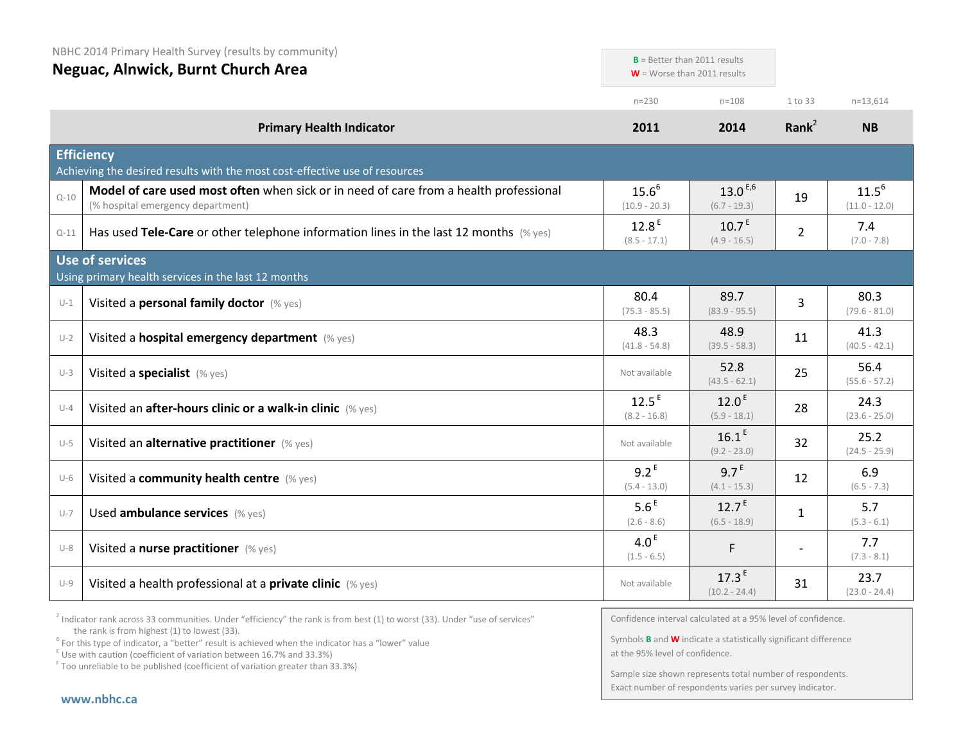| NBHC 2014 Primary Health Survey (results by community) |                                                                                                                            | $B =$ Better than 2011 results      |                                      |                   |                               |
|--------------------------------------------------------|----------------------------------------------------------------------------------------------------------------------------|-------------------------------------|--------------------------------------|-------------------|-------------------------------|
|                                                        | Neguac, Alnwick, Burnt Church Area                                                                                         |                                     | $W =$ Worse than 2011 results        |                   |                               |
|                                                        |                                                                                                                            | $n = 230$                           | $n = 108$                            | 1 to 33           | $n=13,614$                    |
|                                                        | <b>Primary Health Indicator</b>                                                                                            | 2011                                | 2014                                 | Rank <sup>2</sup> | <b>NB</b>                     |
|                                                        | <b>Efficiency</b><br>Achieving the desired results with the most cost-effective use of resources                           |                                     |                                      |                   |                               |
| $Q - 10$                                               | Model of care used most often when sick or in need of care from a health professional<br>(% hospital emergency department) | $15.6^{6}$<br>$(10.9 - 20.3)$       | $13.0^{E,6}$<br>$(6.7 - 19.3)$       | 19                | $11.5^{6}$<br>$(11.0 - 12.0)$ |
| $Q-11$                                                 | Has used Tele-Care or other telephone information lines in the last 12 months $(\%$ yes)                                   | 12.8 <sup>E</sup><br>$(8.5 - 17.1)$ | $10.7^E$<br>$(4.9 - 16.5)$           | $\overline{2}$    | 7.4<br>$(7.0 - 7.8)$          |
|                                                        | <b>Use of services</b><br>Using primary health services in the last 12 months                                              |                                     |                                      |                   |                               |
| $U-1$                                                  | Visited a personal family doctor (% yes)                                                                                   | 80.4<br>$(75.3 - 85.5)$             | 89.7<br>$(83.9 - 95.5)$              | 3                 | 80.3<br>$(79.6 - 81.0)$       |
| $U-2$                                                  | Visited a hospital emergency department (% yes)                                                                            | 48.3<br>$(41.8 - 54.8)$             | 48.9<br>$(39.5 - 58.3)$              | 11                | 41.3<br>$(40.5 - 42.1)$       |
| $U-3$                                                  | Visited a specialist (% yes)                                                                                               | Not available                       | 52.8<br>$(43.5 - 62.1)$              | 25                | 56.4<br>$(55.6 - 57.2)$       |
| $U-4$                                                  | Visited an after-hours clinic or a walk-in clinic (% yes)                                                                  | 12.5 <sup>E</sup><br>$(8.2 - 16.8)$ | 12.0 <sup>E</sup><br>$(5.9 - 18.1)$  | 28                | 24.3<br>$(23.6 - 25.0)$       |
| $U-5$                                                  | Visited an alternative practitioner (% yes)                                                                                | Not available                       | 16.1 <sup>E</sup><br>$(9.2 - 23.0)$  | 32                | 25.2<br>$(24.5 - 25.9)$       |
| $U-6$                                                  | Visited a community health centre (% yes)                                                                                  | $9.2^E$<br>$(5.4 - 13.0)$           | 9.7 <sup>E</sup><br>$(4.1 - 15.3)$   | 12                | 6.9<br>$(6.5 - 7.3)$          |
| $U-7$                                                  | Used ambulance services (% yes)                                                                                            | 5.6 <sup>E</sup><br>$(2.6 - 8.6)$   | 12.7 <sup>E</sup><br>$(6.5 - 18.9)$  | $\mathbf{1}$      | 5.7<br>$(5.3 - 6.1)$          |
| $U-8$                                                  | Visited a nurse practitioner (% yes)                                                                                       | 4.0 <sup>E</sup><br>$(1.5 - 6.5)$   | F.                                   |                   | 7.7<br>$(7.3 - 8.1)$          |
| $U-9$                                                  | Visited a health professional at a private clinic (% yes)                                                                  | Not available                       | 17.3 <sup>E</sup><br>$(10.2 - 24.4)$ | 31                | 23.7<br>$(23.0 - 24.4)$       |

 $2$  Indicator rank across 33 communities. Under "efficiency" the rank is from best (1) to worst (33). Under "use of services" the rank is from highest (1) to lowest (33).

<sup>6</sup> For this type of indicator, a "better" result is achieved when the indicator has a "lower" value  $E$ <sup>E</sup> Use with caution (coefficient of variation between 16.7% and 33.3%)

<sup>F</sup> Too unreliable to be published (coefficient of variation greater than 33.3%)

Confidence interval calculated at a 95% level of confidence.

Symbols **B** and **W** indicate a statistically significant difference at the 95% level of confidence.

Sample size shown represents total number of respondents. Exact number of respondents varies per survey indicator.